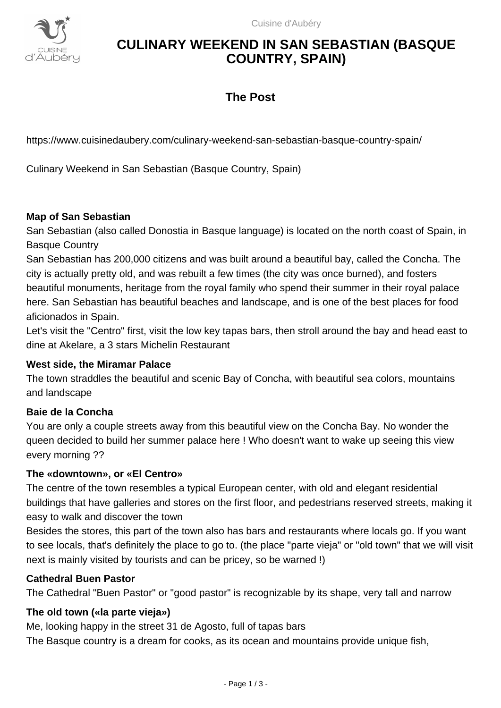

# **CULINARY WEEKEND IN SAN SEBASTIAN (BASQUE COUNTRY, SPAIN)**

## **The Post**

https://www.cuisinedaubery.com/culinary-weekend-san-sebastian-basque-country-spain/

Culinary Weekend in San Sebastian (Basque Country, Spain)

## **Map of San Sebastian**

San Sebastian (also called Donostia in Basque language) is located on the north coast of Spain, in Basque Country

San Sebastian has 200,000 citizens and was built around a beautiful bay, called the Concha. The city is actually pretty old, and was rebuilt a few times (the city was once burned), and fosters beautiful monuments, heritage from the royal family who spend their summer in their royal palace here. San Sebastian has beautiful beaches and landscape, and is one of the best places for food aficionados in Spain.

Let's visit the "Centro" first, visit the low key tapas bars, then stroll around the bay and head east to dine at Akelare, a 3 stars Michelin Restaurant

### **West side, the Miramar Palace**

The town straddles the beautiful and scenic Bay of Concha, with beautiful sea colors, mountains and landscape

### **Baie de la Concha**

You are only a couple streets away from this beautiful view on the Concha Bay. No wonder the queen decided to build her summer palace here ! Who doesn't want to wake up seeing this view every morning ??

### **The «downtown», or «El Centro»**

The centre of the town resembles a typical European center, with old and elegant residential buildings that have galleries and stores on the first floor, and pedestrians reserved streets, making it easy to walk and discover the town

Besides the stores, this part of the town also has bars and restaurants where locals go. If you want to see locals, that's definitely the place to go to. (the place "parte vieja" or "old town" that we will visit next is mainly visited by tourists and can be pricey, so be warned !)

### **Cathedral Buen Pastor**

The Cathedral "Buen Pastor" or "good pastor" is recognizable by its shape, very tall and narrow

### **The old town («la parte vieja»)**

Me, looking happy in the street 31 de Agosto, full of tapas bars

The Basque country is a dream for cooks, as its ocean and mountains provide unique fish,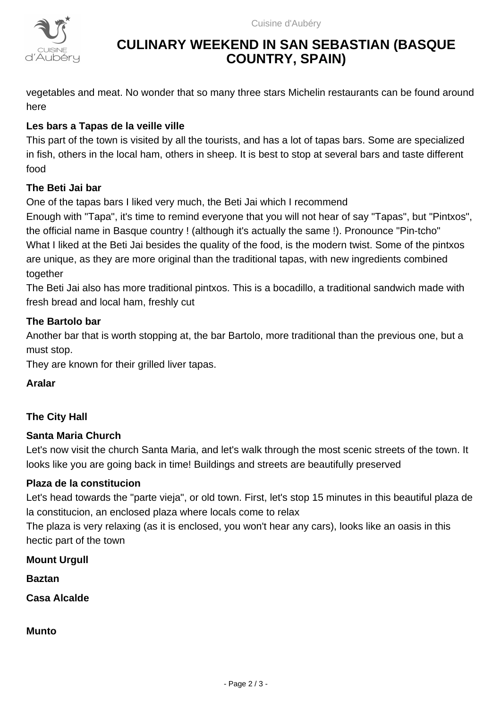

# **CULINARY WEEKEND IN SAN SEBASTIAN (BASQUE COUNTRY, SPAIN)**

vegetables and meat. No wonder that so many three stars Michelin restaurants can be found around here

## **Les bars a Tapas de la veille ville**

This part of the town is visited by all the tourists, and has a lot of tapas bars. Some are specialized in fish, others in the local ham, others in sheep. It is best to stop at several bars and taste different food

## **The Beti Jai bar**

One of the tapas bars I liked very much, the Beti Jai which I recommend

Enough with "Tapa", it's time to remind everyone that you will not hear of say "Tapas", but "Pintxos", the official name in Basque country ! (although it's actually the same !). Pronounce "Pin-tcho" What I liked at the Beti Jai besides the quality of the food, is the modern twist. Some of the pintxos are unique, as they are more original than the traditional tapas, with new ingredients combined together

The Beti Jai also has more traditional pintxos. This is a bocadillo, a traditional sandwich made with fresh bread and local ham, freshly cut

## **The Bartolo bar**

Another bar that is worth stopping at, the bar Bartolo, more traditional than the previous one, but a must stop.

They are known for their grilled liver tapas.

## **Aralar**

## **The City Hall**

### **Santa Maria Church**

Let's now visit the church Santa Maria, and let's walk through the most scenic streets of the town. It looks like you are going back in time! Buildings and streets are beautifully preserved

### **Plaza de la constitucion**

Let's head towards the "parte vieja", or old town. First, let's stop 15 minutes in this beautiful plaza de la constitucion, an enclosed plaza where locals come to relax

The plaza is very relaxing (as it is enclosed, you won't hear any cars), looks like an oasis in this hectic part of the town

**Mount Urgull**

**Baztan**

**Casa Alcalde**

**Munto**